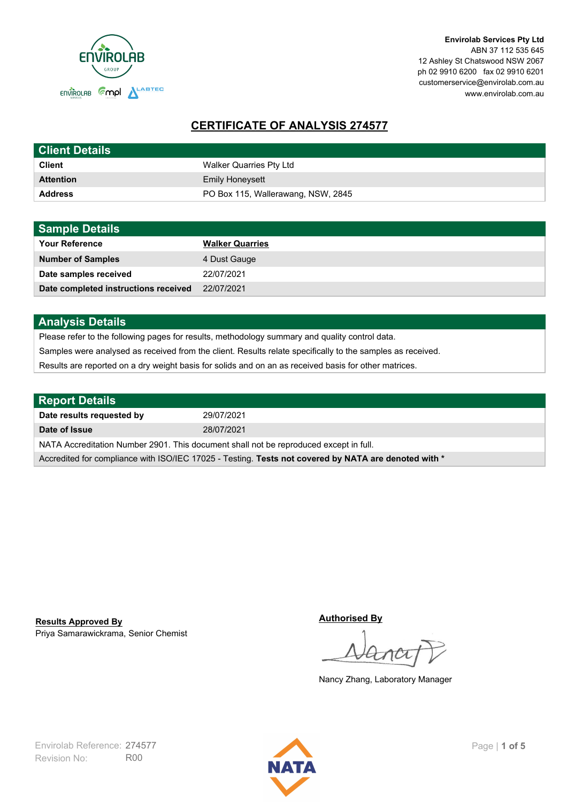

**Envirolab Services Pty Ltd** ABN 37 112 535 645 12 Ashley St Chatswood NSW 2067 ph 02 9910 6200 fax 02 9910 6201 customerservice@envirolab.com.au www.envirolab.com.au

# **CERTIFICATE OF ANALYSIS 274577**

| <b>Client Details</b> |                                    |
|-----------------------|------------------------------------|
| <b>Client</b>         | Walker Quarries Pty Ltd            |
| <b>Attention</b>      | <b>Emily Honeysett</b>             |
| <b>Address</b>        | PO Box 115, Wallerawang, NSW, 2845 |

| <b>Sample Details</b>                |                        |
|--------------------------------------|------------------------|
| <b>Your Reference</b>                | <b>Walker Quarries</b> |
| <b>Number of Samples</b>             | 4 Dust Gauge           |
| Date samples received                | 22/07/2021             |
| Date completed instructions received | 22/07/2021             |

## **Analysis Details**

Please refer to the following pages for results, methodology summary and quality control data.

Samples were analysed as received from the client. Results relate specifically to the samples as received.

Results are reported on a dry weight basis for solids and on an as received basis for other matrices.

| Report Details                                                                                       |            |  |
|------------------------------------------------------------------------------------------------------|------------|--|
| Date results requested by                                                                            | 29/07/2021 |  |
| Date of Issue                                                                                        | 28/07/2021 |  |
| NATA Accreditation Number 2901. This document shall not be reproduced except in full.                |            |  |
| Accredited for compliance with ISO/IEC 17025 - Testing. Tests not covered by NATA are denoted with * |            |  |

Priya Samarawickrama, Senior Chemist **Results Approved By**

**Authorised By**

Nancy Zhang, Laboratory Manager

Revision No: R00 Envirolab Reference: 274577 Page | **1 of 5**

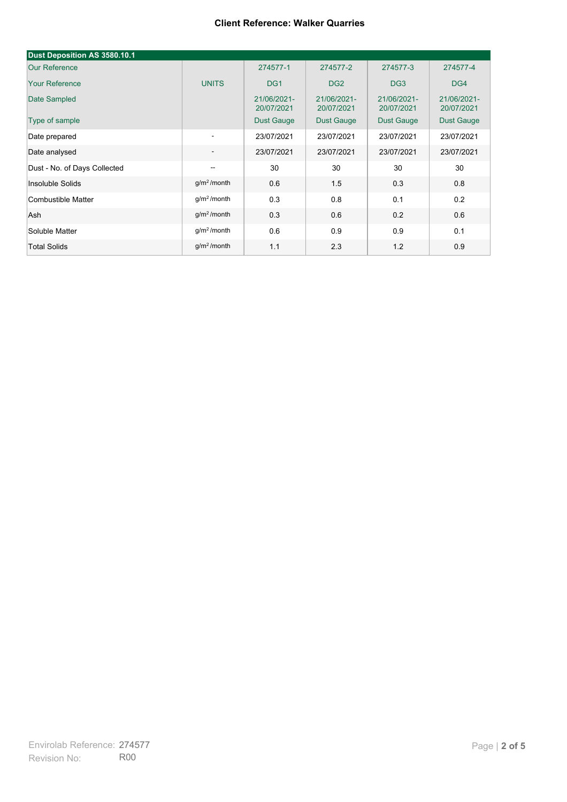| Dust Deposition AS 3580.10.1 |                          |                           |                           |                           |                           |
|------------------------------|--------------------------|---------------------------|---------------------------|---------------------------|---------------------------|
| <b>Our Reference</b>         |                          | 274577-1                  | 274577-2                  | 274577-3                  | 274577-4                  |
| <b>Your Reference</b>        | <b>UNITS</b>             | DG <sub>1</sub>           | DG <sub>2</sub>           | DG <sub>3</sub>           | DG4                       |
| Date Sampled                 |                          | 21/06/2021-<br>20/07/2021 | 21/06/2021-<br>20/07/2021 | 21/06/2021-<br>20/07/2021 | 21/06/2021-<br>20/07/2021 |
| Type of sample               |                          | <b>Dust Gauge</b>         | <b>Dust Gauge</b>         | <b>Dust Gauge</b>         | Dust Gauge                |
| Date prepared                | $\overline{\phantom{a}}$ | 23/07/2021                | 23/07/2021                | 23/07/2021                | 23/07/2021                |
| Date analysed                | $\overline{\phantom{a}}$ | 23/07/2021                | 23/07/2021                | 23/07/2021                | 23/07/2021                |
| Dust - No. of Days Collected | $\overline{\phantom{a}}$ | 30                        | 30                        | 30                        | 30                        |
| Insoluble Solids             | g/m <sup>2</sup> /month  | 0.6                       | 1.5                       | 0.3                       | 0.8                       |
| Combustible Matter           | g/m <sup>2</sup> /month  | 0.3                       | 0.8                       | 0.1                       | 0.2                       |
| Ash                          | g/m <sup>2</sup> /month  | 0.3                       | 0.6                       | 0.2                       | 0.6                       |
| Soluble Matter               | g/m <sup>2</sup> /month  | 0.6                       | 0.9                       | 0.9                       | 0.1                       |
| <b>Total Solids</b>          | $g/m2$ /month            | 1.1                       | 2.3                       | 1.2                       | 0.9                       |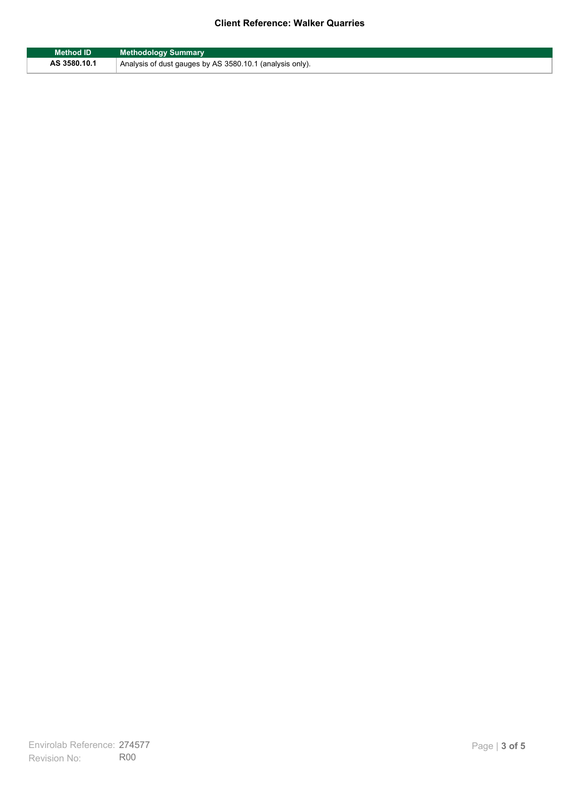| Method ID    | <b>Methodology Summary</b>                               |
|--------------|----------------------------------------------------------|
| AS 3580.10.1 | Analysis of dust gauges by AS 3580.10.1 (analysis only). |

F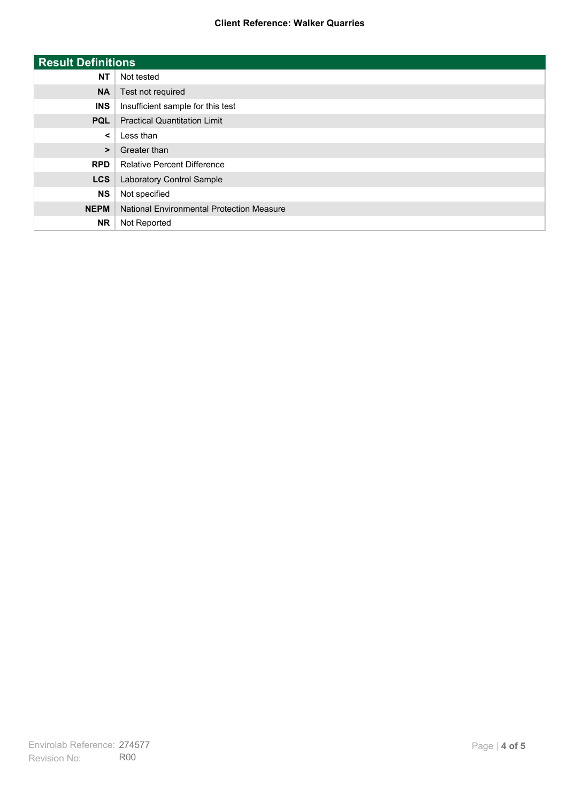| <b>Result Definitions</b> |                                           |
|---------------------------|-------------------------------------------|
| <b>NT</b>                 | Not tested                                |
| <b>NA</b>                 | Test not required                         |
| <b>INS</b>                | Insufficient sample for this test         |
| <b>PQL</b>                | <b>Practical Quantitation Limit</b>       |
| $\prec$                   | Less than                                 |
| $\geq$                    | Greater than                              |
| <b>RPD</b>                | <b>Relative Percent Difference</b>        |
| <b>LCS</b>                | Laboratory Control Sample                 |
| <b>NS</b>                 | Not specified                             |
| <b>NEPM</b>               | National Environmental Protection Measure |
| <b>NR</b>                 | Not Reported                              |